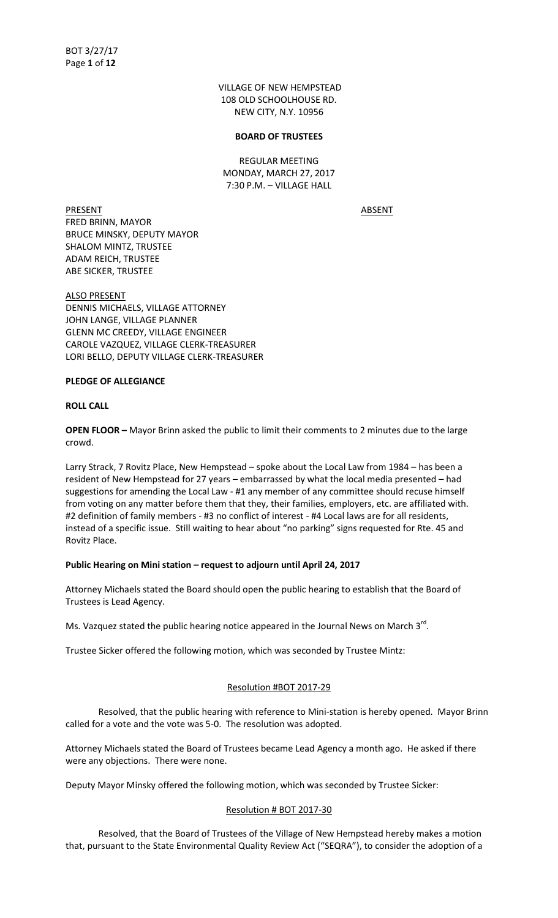VILLAGE OF NEW HEMPSTEAD 108 OLD SCHOOLHOUSE RD. NEW CITY, N.Y. 10956

#### **BOARD OF TRUSTEES**

REGULAR MEETING MONDAY, MARCH 27, 2017 7:30 P.M. – VILLAGE HALL

PRESENT ABSENT FRED BRINN, MAYOR BRUCE MINSKY, DEPUTY MAYOR SHALOM MINTZ, TRUSTEE ADAM REICH, TRUSTEE ABE SICKER, TRUSTEE

ALSO PRESENT DENNIS MICHAELS, VILLAGE ATTORNEY JOHN LANGE, VILLAGE PLANNER GLENN MC CREEDY, VILLAGE ENGINEER CAROLE VAZQUEZ, VILLAGE CLERK-TREASURER LORI BELLO, DEPUTY VILLAGE CLERK-TREASURER

#### **PLEDGE OF ALLEGIANCE**

#### **ROLL CALL**

**OPEN FLOOR –** Mayor Brinn asked the public to limit their comments to 2 minutes due to the large crowd.

Larry Strack, 7 Rovitz Place, New Hempstead – spoke about the Local Law from 1984 – has been a resident of New Hempstead for 27 years – embarrassed by what the local media presented – had suggestions for amending the Local Law - #1 any member of any committee should recuse himself from voting on any matter before them that they, their families, employers, etc. are affiliated with. #2 definition of family members - #3 no conflict of interest - #4 Local laws are for all residents, instead of a specific issue. Still waiting to hear about "no parking" signs requested for Rte. 45 and Rovitz Place.

## **Public Hearing on Mini station – request to adjourn until April 24, 2017**

Attorney Michaels stated the Board should open the public hearing to establish that the Board of Trustees is Lead Agency.

Ms. Vazquez stated the public hearing notice appeared in the Journal News on March  $3^{rd}$ .

Trustee Sicker offered the following motion, which was seconded by Trustee Mintz:

## Resolution #BOT 2017-29

 Resolved, that the public hearing with reference to Mini-station is hereby opened. Mayor Brinn called for a vote and the vote was 5-0. The resolution was adopted.

Attorney Michaels stated the Board of Trustees became Lead Agency a month ago. He asked if there were any objections. There were none.

Deputy Mayor Minsky offered the following motion, which was seconded by Trustee Sicker:

#### Resolution # BOT 2017-30

 Resolved, that the Board of Trustees of the Village of New Hempstead hereby makes a motion that, pursuant to the State Environmental Quality Review Act ("SEQRA"), to consider the adoption of a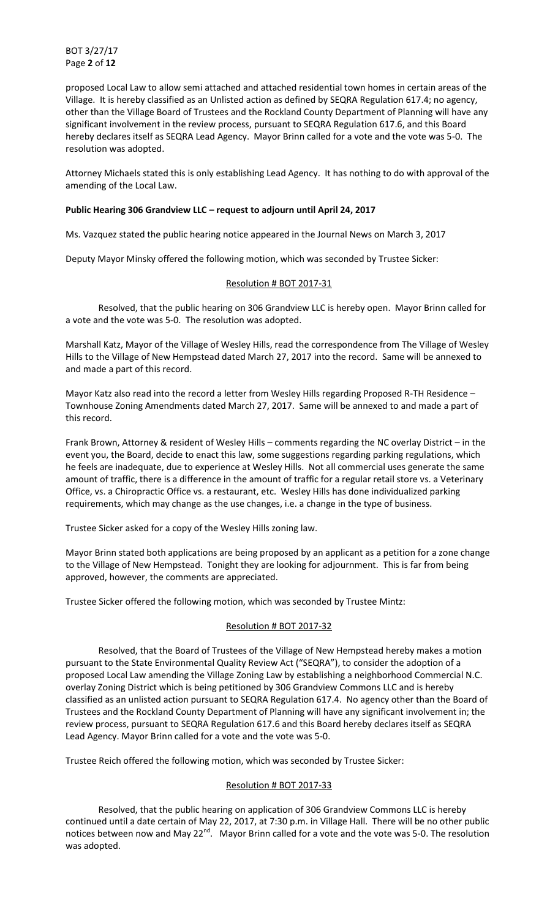BOT 3/27/17 Page **2** of **12**

proposed Local Law to allow semi attached and attached residential town homes in certain areas of the Village. It is hereby classified as an Unlisted action as defined by SEQRA Regulation 617.4; no agency, other than the Village Board of Trustees and the Rockland County Department of Planning will have any significant involvement in the review process, pursuant to SEQRA Regulation 617.6, and this Board hereby declares itself as SEQRA Lead Agency. Mayor Brinn called for a vote and the vote was 5-0. The resolution was adopted.

Attorney Michaels stated this is only establishing Lead Agency. It has nothing to do with approval of the amending of the Local Law.

## **Public Hearing 306 Grandview LLC – request to adjourn until April 24, 2017**

Ms. Vazquez stated the public hearing notice appeared in the Journal News on March 3, 2017

Deputy Mayor Minsky offered the following motion, which was seconded by Trustee Sicker:

## Resolution # BOT 2017-31

 Resolved, that the public hearing on 306 Grandview LLC is hereby open. Mayor Brinn called for a vote and the vote was 5-0. The resolution was adopted.

Marshall Katz, Mayor of the Village of Wesley Hills, read the correspondence from The Village of Wesley Hills to the Village of New Hempstead dated March 27, 2017 into the record. Same will be annexed to and made a part of this record.

Mayor Katz also read into the record a letter from Wesley Hills regarding Proposed R-TH Residence – Townhouse Zoning Amendments dated March 27, 2017. Same will be annexed to and made a part of this record.

Frank Brown, Attorney & resident of Wesley Hills – comments regarding the NC overlay District – in the event you, the Board, decide to enact this law, some suggestions regarding parking regulations, which he feels are inadequate, due to experience at Wesley Hills. Not all commercial uses generate the same amount of traffic, there is a difference in the amount of traffic for a regular retail store vs. a Veterinary Office, vs. a Chiropractic Office vs. a restaurant, etc. Wesley Hills has done individualized parking requirements, which may change as the use changes, i.e. a change in the type of business.

Trustee Sicker asked for a copy of the Wesley Hills zoning law.

Mayor Brinn stated both applications are being proposed by an applicant as a petition for a zone change to the Village of New Hempstead. Tonight they are looking for adjournment. This is far from being approved, however, the comments are appreciated.

Trustee Sicker offered the following motion, which was seconded by Trustee Mintz:

# Resolution # BOT 2017-32

 Resolved, that the Board of Trustees of the Village of New Hempstead hereby makes a motion pursuant to the State Environmental Quality Review Act ("SEQRA"), to consider the adoption of a proposed Local Law amending the Village Zoning Law by establishing a neighborhood Commercial N.C. overlay Zoning District which is being petitioned by 306 Grandview Commons LLC and is hereby classified as an unlisted action pursuant to SEQRA Regulation 617.4. No agency other than the Board of Trustees and the Rockland County Department of Planning will have any significant involvement in; the review process, pursuant to SEQRA Regulation 617.6 and this Board hereby declares itself as SEQRA Lead Agency. Mayor Brinn called for a vote and the vote was 5-0.

Trustee Reich offered the following motion, which was seconded by Trustee Sicker:

## Resolution # BOT 2017-33

 Resolved, that the public hearing on application of 306 Grandview Commons LLC is hereby continued until a date certain of May 22, 2017, at 7:30 p.m. in Village Hall. There will be no other public notices between now and May 22<sup>nd</sup>. Mayor Brinn called for a vote and the vote was 5-0. The resolution was adopted.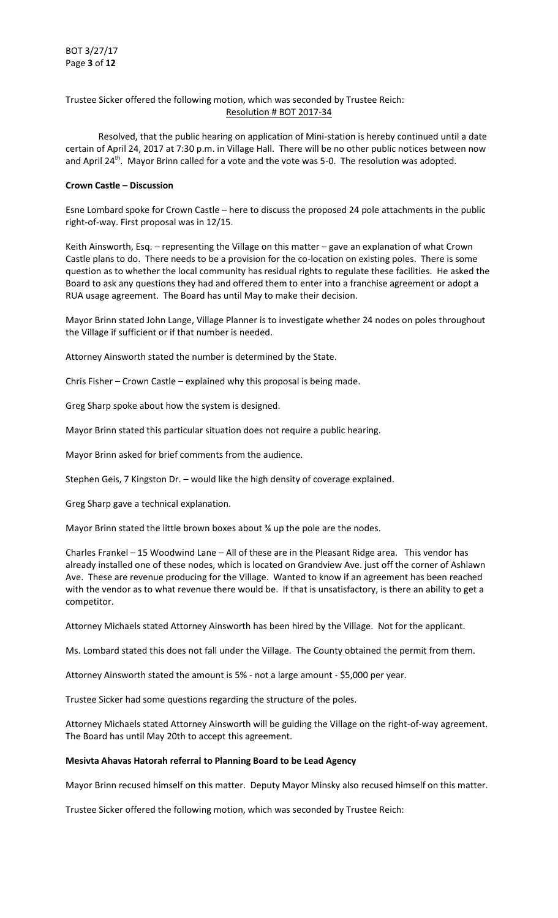# Trustee Sicker offered the following motion, which was seconded by Trustee Reich: Resolution # BOT 2017-34

 Resolved, that the public hearing on application of Mini-station is hereby continued until a date certain of April 24, 2017 at 7:30 p.m. in Village Hall. There will be no other public notices between now and April 24<sup>th</sup>. Mayor Brinn called for a vote and the vote was 5-0. The resolution was adopted.

# **Crown Castle – Discussion**

Esne Lombard spoke for Crown Castle – here to discuss the proposed 24 pole attachments in the public right-of-way. First proposal was in 12/15.

Keith Ainsworth, Esq. – representing the Village on this matter – gave an explanation of what Crown Castle plans to do. There needs to be a provision for the co-location on existing poles. There is some question as to whether the local community has residual rights to regulate these facilities. He asked the Board to ask any questions they had and offered them to enter into a franchise agreement or adopt a RUA usage agreement. The Board has until May to make their decision.

Mayor Brinn stated John Lange, Village Planner is to investigate whether 24 nodes on poles throughout the Village if sufficient or if that number is needed.

Attorney Ainsworth stated the number is determined by the State.

Chris Fisher – Crown Castle – explained why this proposal is being made.

Greg Sharp spoke about how the system is designed.

Mayor Brinn stated this particular situation does not require a public hearing.

Mayor Brinn asked for brief comments from the audience.

Stephen Geis, 7 Kingston Dr. – would like the high density of coverage explained.

Greg Sharp gave a technical explanation.

Mayor Brinn stated the little brown boxes about ¾ up the pole are the nodes.

Charles Frankel – 15 Woodwind Lane – All of these are in the Pleasant Ridge area. This vendor has already installed one of these nodes, which is located on Grandview Ave. just off the corner of Ashlawn Ave. These are revenue producing for the Village. Wanted to know if an agreement has been reached with the vendor as to what revenue there would be. If that is unsatisfactory, is there an ability to get a competitor.

Attorney Michaels stated Attorney Ainsworth has been hired by the Village. Not for the applicant.

Ms. Lombard stated this does not fall under the Village. The County obtained the permit from them.

Attorney Ainsworth stated the amount is 5% - not a large amount - \$5,000 per year.

Trustee Sicker had some questions regarding the structure of the poles.

Attorney Michaels stated Attorney Ainsworth will be guiding the Village on the right-of-way agreement. The Board has until May 20th to accept this agreement.

## **Mesivta Ahavas Hatorah referral to Planning Board to be Lead Agency**

Mayor Brinn recused himself on this matter. Deputy Mayor Minsky also recused himself on this matter.

Trustee Sicker offered the following motion, which was seconded by Trustee Reich: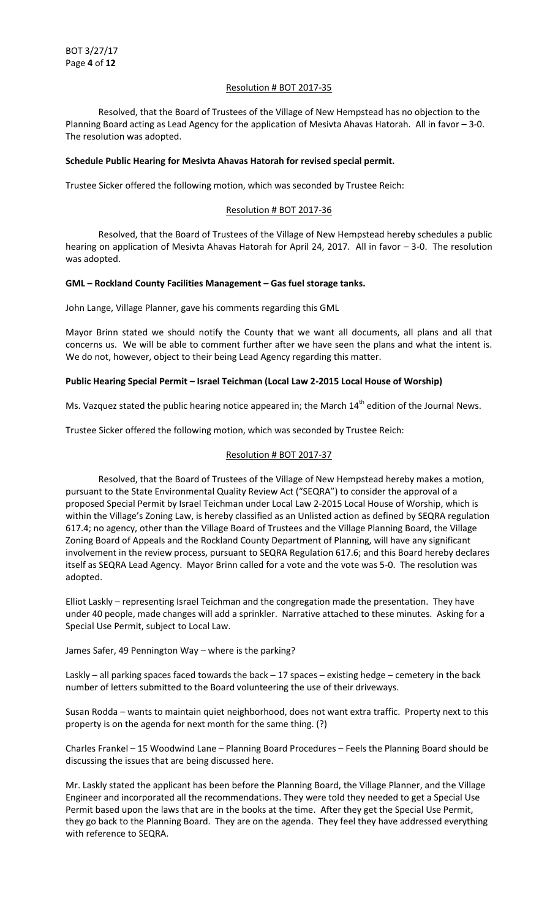## Resolution # BOT 2017-35

 Resolved, that the Board of Trustees of the Village of New Hempstead has no objection to the Planning Board acting as Lead Agency for the application of Mesivta Ahavas Hatorah. All in favor – 3-0. The resolution was adopted.

# **Schedule Public Hearing for Mesivta Ahavas Hatorah for revised special permit.**

Trustee Sicker offered the following motion, which was seconded by Trustee Reich:

# Resolution # BOT 2017-36

 Resolved, that the Board of Trustees of the Village of New Hempstead hereby schedules a public hearing on application of Mesivta Ahavas Hatorah for April 24, 2017. All in favor – 3-0. The resolution was adopted.

# **GML – Rockland County Facilities Management – Gas fuel storage tanks.**

John Lange, Village Planner, gave his comments regarding this GML

Mayor Brinn stated we should notify the County that we want all documents, all plans and all that concerns us. We will be able to comment further after we have seen the plans and what the intent is. We do not, however, object to their being Lead Agency regarding this matter.

# **Public Hearing Special Permit – Israel Teichman (Local Law 2-2015 Local House of Worship)**

Ms. Vazquez stated the public hearing notice appeared in; the March 14<sup>th</sup> edition of the Journal News.

Trustee Sicker offered the following motion, which was seconded by Trustee Reich:

# Resolution # BOT 2017-37

 Resolved, that the Board of Trustees of the Village of New Hempstead hereby makes a motion, pursuant to the State Environmental Quality Review Act ("SEQRA") to consider the approval of a proposed Special Permit by Israel Teichman under Local Law 2-2015 Local House of Worship, which is within the Village's Zoning Law, is hereby classified as an Unlisted action as defined by SEQRA regulation 617.4; no agency, other than the Village Board of Trustees and the Village Planning Board, the Village Zoning Board of Appeals and the Rockland County Department of Planning, will have any significant involvement in the review process, pursuant to SEQRA Regulation 617.6; and this Board hereby declares itself as SEQRA Lead Agency. Mayor Brinn called for a vote and the vote was 5-0. The resolution was adopted.

Elliot Laskly – representing Israel Teichman and the congregation made the presentation. They have under 40 people, made changes will add a sprinkler. Narrative attached to these minutes. Asking for a Special Use Permit, subject to Local Law.

James Safer, 49 Pennington Way – where is the parking?

Laskly – all parking spaces faced towards the back – 17 spaces – existing hedge – cemetery in the back number of letters submitted to the Board volunteering the use of their driveways.

Susan Rodda – wants to maintain quiet neighborhood, does not want extra traffic. Property next to this property is on the agenda for next month for the same thing. (?)

Charles Frankel – 15 Woodwind Lane – Planning Board Procedures – Feels the Planning Board should be discussing the issues that are being discussed here.

Mr. Laskly stated the applicant has been before the Planning Board, the Village Planner, and the Village Engineer and incorporated all the recommendations. They were told they needed to get a Special Use Permit based upon the laws that are in the books at the time. After they get the Special Use Permit, they go back to the Planning Board. They are on the agenda. They feel they have addressed everything with reference to SEQRA.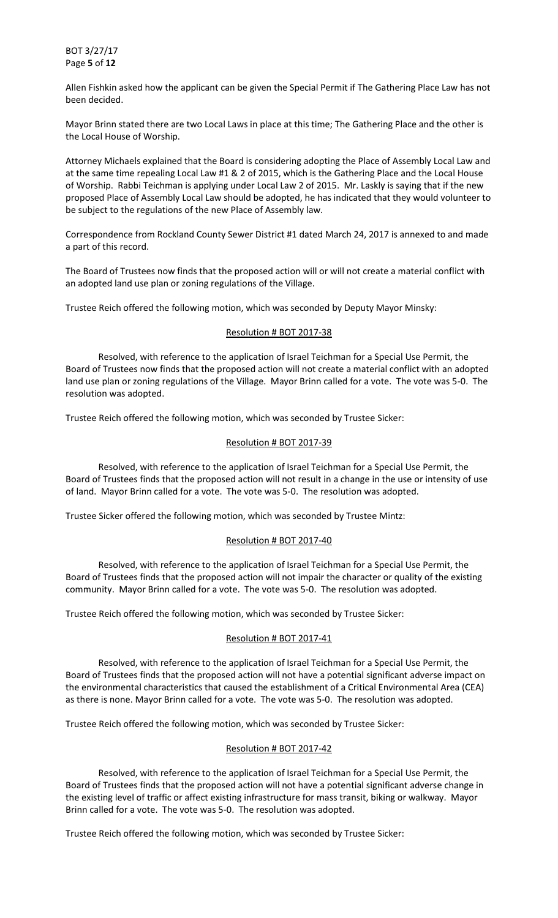BOT 3/27/17 Page **5** of **12**

Allen Fishkin asked how the applicant can be given the Special Permit if The Gathering Place Law has not been decided.

Mayor Brinn stated there are two Local Laws in place at this time; The Gathering Place and the other is the Local House of Worship.

Attorney Michaels explained that the Board is considering adopting the Place of Assembly Local Law and at the same time repealing Local Law #1 & 2 of 2015, which is the Gathering Place and the Local House of Worship. Rabbi Teichman is applying under Local Law 2 of 2015. Mr. Laskly is saying that if the new proposed Place of Assembly Local Law should be adopted, he has indicated that they would volunteer to be subject to the regulations of the new Place of Assembly law.

Correspondence from Rockland County Sewer District #1 dated March 24, 2017 is annexed to and made a part of this record.

The Board of Trustees now finds that the proposed action will or will not create a material conflict with an adopted land use plan or zoning regulations of the Village.

Trustee Reich offered the following motion, which was seconded by Deputy Mayor Minsky:

#### Resolution # BOT 2017-38

 Resolved, with reference to the application of Israel Teichman for a Special Use Permit, the Board of Trustees now finds that the proposed action will not create a material conflict with an adopted land use plan or zoning regulations of the Village. Mayor Brinn called for a vote. The vote was 5-0. The resolution was adopted.

Trustee Reich offered the following motion, which was seconded by Trustee Sicker:

#### Resolution # BOT 2017-39

 Resolved, with reference to the application of Israel Teichman for a Special Use Permit, the Board of Trustees finds that the proposed action will not result in a change in the use or intensity of use of land. Mayor Brinn called for a vote. The vote was 5-0. The resolution was adopted.

Trustee Sicker offered the following motion, which was seconded by Trustee Mintz:

## Resolution # BOT 2017-40

 Resolved, with reference to the application of Israel Teichman for a Special Use Permit, the Board of Trustees finds that the proposed action will not impair the character or quality of the existing community. Mayor Brinn called for a vote. The vote was 5-0. The resolution was adopted.

Trustee Reich offered the following motion, which was seconded by Trustee Sicker:

## Resolution # BOT 2017-41

 Resolved, with reference to the application of Israel Teichman for a Special Use Permit, the Board of Trustees finds that the proposed action will not have a potential significant adverse impact on the environmental characteristics that caused the establishment of a Critical Environmental Area (CEA) as there is none. Mayor Brinn called for a vote. The vote was 5-0. The resolution was adopted.

Trustee Reich offered the following motion, which was seconded by Trustee Sicker:

## Resolution # BOT 2017-42

 Resolved, with reference to the application of Israel Teichman for a Special Use Permit, the Board of Trustees finds that the proposed action will not have a potential significant adverse change in the existing level of traffic or affect existing infrastructure for mass transit, biking or walkway. Mayor Brinn called for a vote. The vote was 5-0. The resolution was adopted.

Trustee Reich offered the following motion, which was seconded by Trustee Sicker: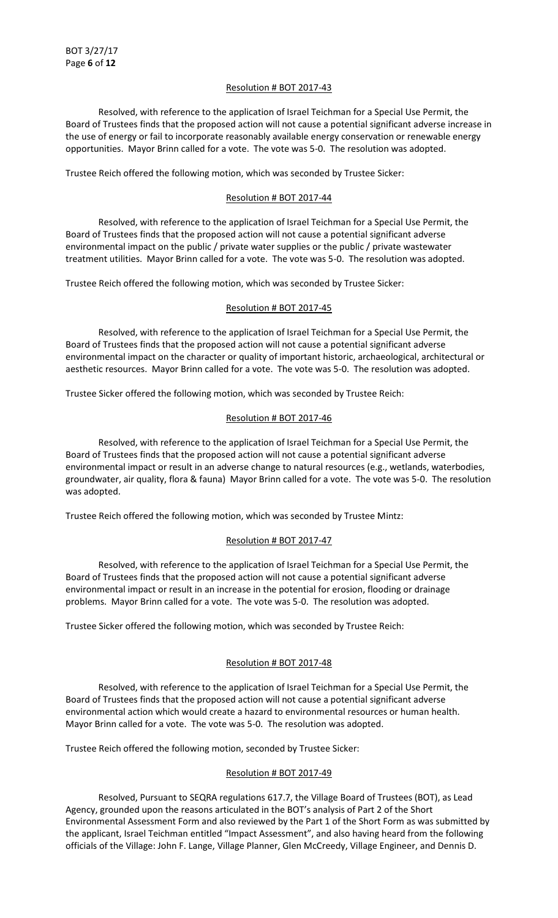## Resolution # BOT 2017-43

 Resolved, with reference to the application of Israel Teichman for a Special Use Permit, the Board of Trustees finds that the proposed action will not cause a potential significant adverse increase in the use of energy or fail to incorporate reasonably available energy conservation or renewable energy opportunities. Mayor Brinn called for a vote. The vote was 5-0. The resolution was adopted.

Trustee Reich offered the following motion, which was seconded by Trustee Sicker:

# Resolution # BOT 2017-44

 Resolved, with reference to the application of Israel Teichman for a Special Use Permit, the Board of Trustees finds that the proposed action will not cause a potential significant adverse environmental impact on the public / private water supplies or the public / private wastewater treatment utilities. Mayor Brinn called for a vote. The vote was 5-0. The resolution was adopted.

Trustee Reich offered the following motion, which was seconded by Trustee Sicker:

## Resolution # BOT 2017-45

 Resolved, with reference to the application of Israel Teichman for a Special Use Permit, the Board of Trustees finds that the proposed action will not cause a potential significant adverse environmental impact on the character or quality of important historic, archaeological, architectural or aesthetic resources. Mayor Brinn called for a vote. The vote was 5-0. The resolution was adopted.

Trustee Sicker offered the following motion, which was seconded by Trustee Reich:

## Resolution # BOT 2017-46

 Resolved, with reference to the application of Israel Teichman for a Special Use Permit, the Board of Trustees finds that the proposed action will not cause a potential significant adverse environmental impact or result in an adverse change to natural resources (e.g., wetlands, waterbodies, groundwater, air quality, flora & fauna) Mayor Brinn called for a vote. The vote was 5-0. The resolution was adopted.

Trustee Reich offered the following motion, which was seconded by Trustee Mintz:

# Resolution # BOT 2017-47

 Resolved, with reference to the application of Israel Teichman for a Special Use Permit, the Board of Trustees finds that the proposed action will not cause a potential significant adverse environmental impact or result in an increase in the potential for erosion, flooding or drainage problems. Mayor Brinn called for a vote. The vote was 5-0. The resolution was adopted.

Trustee Sicker offered the following motion, which was seconded by Trustee Reich:

## Resolution # BOT 2017-48

 Resolved, with reference to the application of Israel Teichman for a Special Use Permit, the Board of Trustees finds that the proposed action will not cause a potential significant adverse environmental action which would create a hazard to environmental resources or human health. Mayor Brinn called for a vote. The vote was 5-0. The resolution was adopted.

Trustee Reich offered the following motion, seconded by Trustee Sicker:

# Resolution # BOT 2017-49

 Resolved, Pursuant to SEQRA regulations 617.7, the Village Board of Trustees (BOT), as Lead Agency, grounded upon the reasons articulated in the BOT's analysis of Part 2 of the Short Environmental Assessment Form and also reviewed by the Part 1 of the Short Form as was submitted by the applicant, Israel Teichman entitled "Impact Assessment", and also having heard from the following officials of the Village: John F. Lange, Village Planner, Glen McCreedy, Village Engineer, and Dennis D.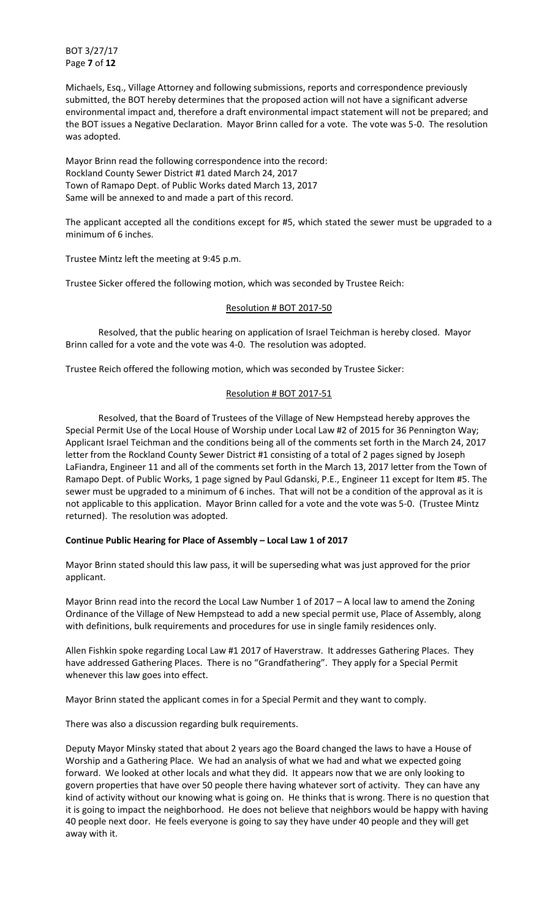BOT 3/27/17 Page **7** of **12**

Michaels, Esq., Village Attorney and following submissions, reports and correspondence previously submitted, the BOT hereby determines that the proposed action will not have a significant adverse environmental impact and, therefore a draft environmental impact statement will not be prepared; and the BOT issues a Negative Declaration. Mayor Brinn called for a vote. The vote was 5-0. The resolution was adopted.

Mayor Brinn read the following correspondence into the record: Rockland County Sewer District #1 dated March 24, 2017 Town of Ramapo Dept. of Public Works dated March 13, 2017 Same will be annexed to and made a part of this record.

The applicant accepted all the conditions except for #5, which stated the sewer must be upgraded to a minimum of 6 inches.

Trustee Mintz left the meeting at 9:45 p.m.

Trustee Sicker offered the following motion, which was seconded by Trustee Reich:

# Resolution # BOT 2017-50

 Resolved, that the public hearing on application of Israel Teichman is hereby closed. Mayor Brinn called for a vote and the vote was 4-0. The resolution was adopted.

Trustee Reich offered the following motion, which was seconded by Trustee Sicker:

# Resolution # BOT 2017-51

 Resolved, that the Board of Trustees of the Village of New Hempstead hereby approves the Special Permit Use of the Local House of Worship under Local Law #2 of 2015 for 36 Pennington Way; Applicant Israel Teichman and the conditions being all of the comments set forth in the March 24, 2017 letter from the Rockland County Sewer District #1 consisting of a total of 2 pages signed by Joseph LaFiandra, Engineer 11 and all of the comments set forth in the March 13, 2017 letter from the Town of Ramapo Dept. of Public Works, 1 page signed by Paul Gdanski, P.E., Engineer 11 except for Item #5. The sewer must be upgraded to a minimum of 6 inches. That will not be a condition of the approval as it is not applicable to this application. Mayor Brinn called for a vote and the vote was 5-0. (Trustee Mintz returned). The resolution was adopted.

## **Continue Public Hearing for Place of Assembly – Local Law 1 of 2017**

Mayor Brinn stated should this law pass, it will be superseding what was just approved for the prior applicant.

Mayor Brinn read into the record the Local Law Number 1 of 2017 – A local law to amend the Zoning Ordinance of the Village of New Hempstead to add a new special permit use, Place of Assembly, along with definitions, bulk requirements and procedures for use in single family residences only.

Allen Fishkin spoke regarding Local Law #1 2017 of Haverstraw. It addresses Gathering Places. They have addressed Gathering Places. There is no "Grandfathering". They apply for a Special Permit whenever this law goes into effect.

Mayor Brinn stated the applicant comes in for a Special Permit and they want to comply.

There was also a discussion regarding bulk requirements.

Deputy Mayor Minsky stated that about 2 years ago the Board changed the laws to have a House of Worship and a Gathering Place. We had an analysis of what we had and what we expected going forward. We looked at other locals and what they did. It appears now that we are only looking to govern properties that have over 50 people there having whatever sort of activity. They can have any kind of activity without our knowing what is going on. He thinks that is wrong. There is no question that it is going to impact the neighborhood. He does not believe that neighbors would be happy with having 40 people next door. He feels everyone is going to say they have under 40 people and they will get away with it.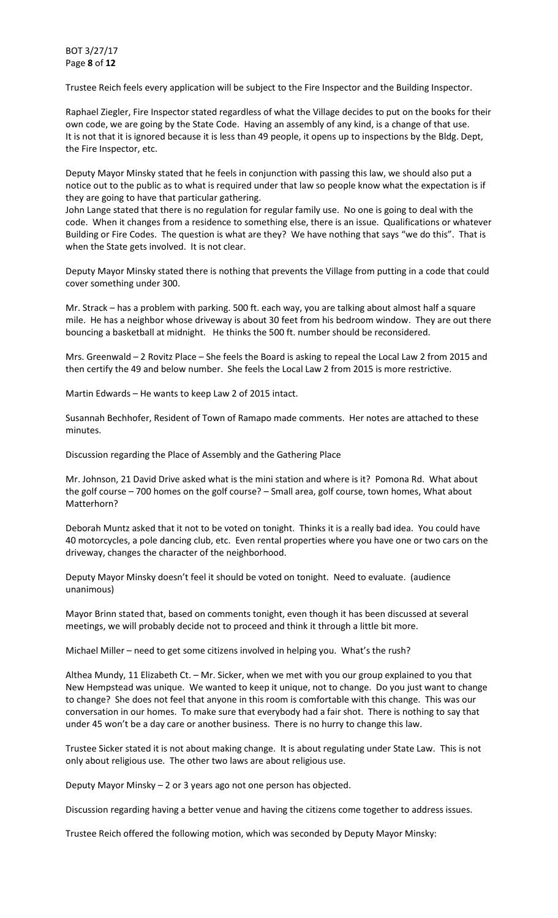BOT 3/27/17 Page **8** of **12**

Trustee Reich feels every application will be subject to the Fire Inspector and the Building Inspector.

Raphael Ziegler, Fire Inspector stated regardless of what the Village decides to put on the books for their own code, we are going by the State Code. Having an assembly of any kind, is a change of that use. It is not that it is ignored because it is less than 49 people, it opens up to inspections by the Bldg. Dept, the Fire Inspector, etc.

Deputy Mayor Minsky stated that he feels in conjunction with passing this law, we should also put a notice out to the public as to what is required under that law so people know what the expectation is if they are going to have that particular gathering.

John Lange stated that there is no regulation for regular family use. No one is going to deal with the code. When it changes from a residence to something else, there is an issue. Qualifications or whatever Building or Fire Codes. The question is what are they? We have nothing that says "we do this". That is when the State gets involved. It is not clear.

Deputy Mayor Minsky stated there is nothing that prevents the Village from putting in a code that could cover something under 300.

Mr. Strack – has a problem with parking. 500 ft. each way, you are talking about almost half a square mile. He has a neighbor whose driveway is about 30 feet from his bedroom window. They are out there bouncing a basketball at midnight. He thinks the 500 ft. number should be reconsidered.

Mrs. Greenwald – 2 Rovitz Place – She feels the Board is asking to repeal the Local Law 2 from 2015 and then certify the 49 and below number. She feels the Local Law 2 from 2015 is more restrictive.

Martin Edwards – He wants to keep Law 2 of 2015 intact.

Susannah Bechhofer, Resident of Town of Ramapo made comments. Her notes are attached to these minutes.

Discussion regarding the Place of Assembly and the Gathering Place

Mr. Johnson, 21 David Drive asked what is the mini station and where is it? Pomona Rd. What about the golf course – 700 homes on the golf course? – Small area, golf course, town homes, What about Matterhorn?

Deborah Muntz asked that it not to be voted on tonight. Thinks it is a really bad idea. You could have 40 motorcycles, a pole dancing club, etc. Even rental properties where you have one or two cars on the driveway, changes the character of the neighborhood.

Deputy Mayor Minsky doesn't feel it should be voted on tonight. Need to evaluate. (audience unanimous)

Mayor Brinn stated that, based on comments tonight, even though it has been discussed at several meetings, we will probably decide not to proceed and think it through a little bit more.

Michael Miller – need to get some citizens involved in helping you. What's the rush?

Althea Mundy, 11 Elizabeth Ct. – Mr. Sicker, when we met with you our group explained to you that New Hempstead was unique. We wanted to keep it unique, not to change. Do you just want to change to change? She does not feel that anyone in this room is comfortable with this change. This was our conversation in our homes. To make sure that everybody had a fair shot. There is nothing to say that under 45 won't be a day care or another business. There is no hurry to change this law.

Trustee Sicker stated it is not about making change. It is about regulating under State Law. This is not only about religious use. The other two laws are about religious use.

Deputy Mayor Minsky – 2 or 3 years ago not one person has objected.

Discussion regarding having a better venue and having the citizens come together to address issues.

Trustee Reich offered the following motion, which was seconded by Deputy Mayor Minsky: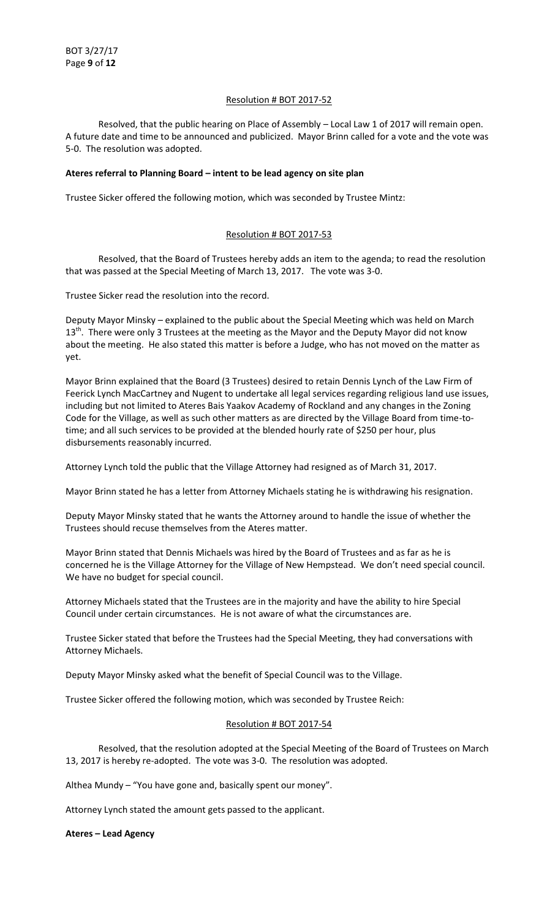## Resolution # BOT 2017-52

 Resolved, that the public hearing on Place of Assembly – Local Law 1 of 2017 will remain open. A future date and time to be announced and publicized. Mayor Brinn called for a vote and the vote was 5-0. The resolution was adopted.

## **Ateres referral to Planning Board – intent to be lead agency on site plan**

Trustee Sicker offered the following motion, which was seconded by Trustee Mintz:

## Resolution # BOT 2017-53

 Resolved, that the Board of Trustees hereby adds an item to the agenda; to read the resolution that was passed at the Special Meeting of March 13, 2017. The vote was 3-0.

Trustee Sicker read the resolution into the record.

Deputy Mayor Minsky – explained to the public about the Special Meeting which was held on March 13<sup>th</sup>. There were only 3 Trustees at the meeting as the Mayor and the Deputy Mayor did not know about the meeting. He also stated this matter is before a Judge, who has not moved on the matter as yet.

Mayor Brinn explained that the Board (3 Trustees) desired to retain Dennis Lynch of the Law Firm of Feerick Lynch MacCartney and Nugent to undertake all legal services regarding religious land use issues, including but not limited to Ateres Bais Yaakov Academy of Rockland and any changes in the Zoning Code for the Village, as well as such other matters as are directed by the Village Board from time-totime; and all such services to be provided at the blended hourly rate of \$250 per hour, plus disbursements reasonably incurred.

Attorney Lynch told the public that the Village Attorney had resigned as of March 31, 2017.

Mayor Brinn stated he has a letter from Attorney Michaels stating he is withdrawing his resignation.

Deputy Mayor Minsky stated that he wants the Attorney around to handle the issue of whether the Trustees should recuse themselves from the Ateres matter.

Mayor Brinn stated that Dennis Michaels was hired by the Board of Trustees and as far as he is concerned he is the Village Attorney for the Village of New Hempstead. We don't need special council. We have no budget for special council.

Attorney Michaels stated that the Trustees are in the majority and have the ability to hire Special Council under certain circumstances. He is not aware of what the circumstances are.

Trustee Sicker stated that before the Trustees had the Special Meeting, they had conversations with Attorney Michaels.

Deputy Mayor Minsky asked what the benefit of Special Council was to the Village.

Trustee Sicker offered the following motion, which was seconded by Trustee Reich:

#### Resolution # BOT 2017-54

 Resolved, that the resolution adopted at the Special Meeting of the Board of Trustees on March 13, 2017 is hereby re-adopted. The vote was 3-0. The resolution was adopted.

Althea Mundy - "You have gone and, basically spent our money".

Attorney Lynch stated the amount gets passed to the applicant.

#### **Ateres – Lead Agency**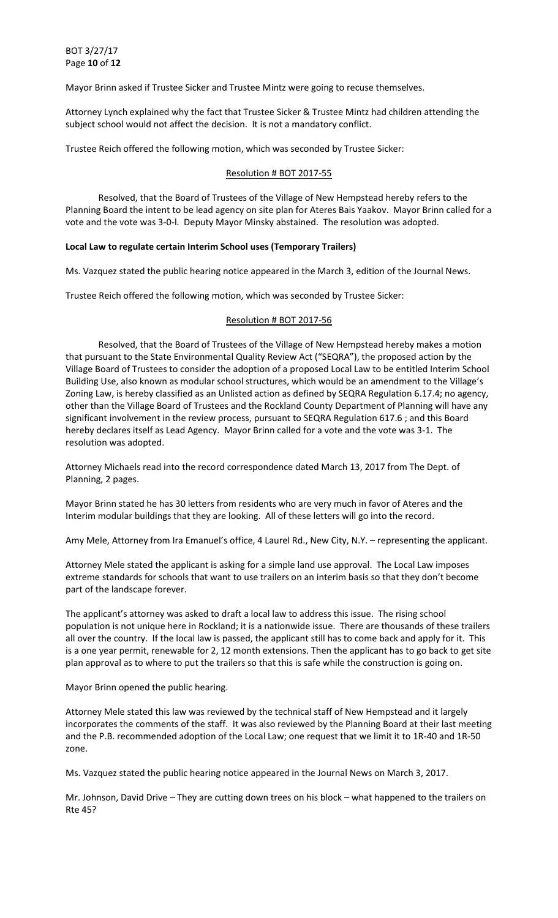BOT 3/27/17 Page **10** of **12**

Mayor Brinn asked if Trustee Sicker and Trustee Mintz were going to recuse themselves.

Attorney Lynch explained why the fact that Trustee Sicker & Trustee Mintz had children attending the subject school would not affect the decision. It is not a mandatory conflict.

Trustee Reich offered the following motion, which was seconded by Trustee Sicker:

#### Resolution # BOT 2017-55

 Resolved, that the Board of Trustees of the Village of New Hempstead hereby refers to the Planning Board the intent to be lead agency on site plan for Ateres Bais Yaakov. Mayor Brinn called for a vote and the vote was 3-0-l. Deputy Mayor Minsky abstained. The resolution was adopted.

#### **Local Law to regulate certain Interim School uses (Temporary Trailers)**

Ms. Vazquez stated the public hearing notice appeared in the March 3, edition of the Journal News.

Trustee Reich offered the following motion, which was seconded by Trustee Sicker:

#### Resolution # BOT 2017-56

 Resolved, that the Board of Trustees of the Village of New Hempstead hereby makes a motion that pursuant to the State Environmental Quality Review Act ("SEQRA"), the proposed action by the Village Board of Trustees to consider the adoption of a proposed Local Law to be entitled Interim School Building Use, also known as modular school structures, which would be an amendment to the Village's Zoning Law, is hereby classified as an Unlisted action as defined by SEQRA Regulation 6.17.4; no agency, other than the Village Board of Trustees and the Rockland County Department of Planning will have any significant involvement in the review process, pursuant to SEQRA Regulation 617.6 ; and this Board hereby declares itself as Lead Agency. Mayor Brinn called for a vote and the vote was 3-1. The resolution was adopted.

Attorney Michaels read into the record correspondence dated March 13, 2017 from The Dept. of Planning, 2 pages.

Mayor Brinn stated he has 30 letters from residents who are very much in favor of Ateres and the Interim modular buildings that they are looking. All of these letters will go into the record.

Amy Mele, Attorney from Ira Emanuel's office, 4 Laurel Rd., New City, N.Y. – representing the applicant.

Attorney Mele stated the applicant is asking for a simple land use approval. The Local Law imposes extreme standards for schools that want to use trailers on an interim basis so that they don't become part of the landscape forever.

The applicant's attorney was asked to draft a local law to address this issue. The rising school population is not unique here in Rockland; it is a nationwide issue. There are thousands of these trailers all over the country. If the local law is passed, the applicant still has to come back and apply for it. This is a one year permit, renewable for 2, 12 month extensions. Then the applicant has to go back to get site plan approval as to where to put the trailers so that this is safe while the construction is going on.

Mayor Brinn opened the public hearing.

Attorney Mele stated this law was reviewed by the technical staff of New Hempstead and it largely incorporates the comments of the staff. It was also reviewed by the Planning Board at their last meeting and the P.B. recommended adoption of the Local Law; one request that we limit it to 1R-40 and 1R-50 zone.

Ms. Vazquez stated the public hearing notice appeared in the Journal News on March 3, 2017.

Mr. Johnson, David Drive – They are cutting down trees on his block – what happened to the trailers on Rte 45?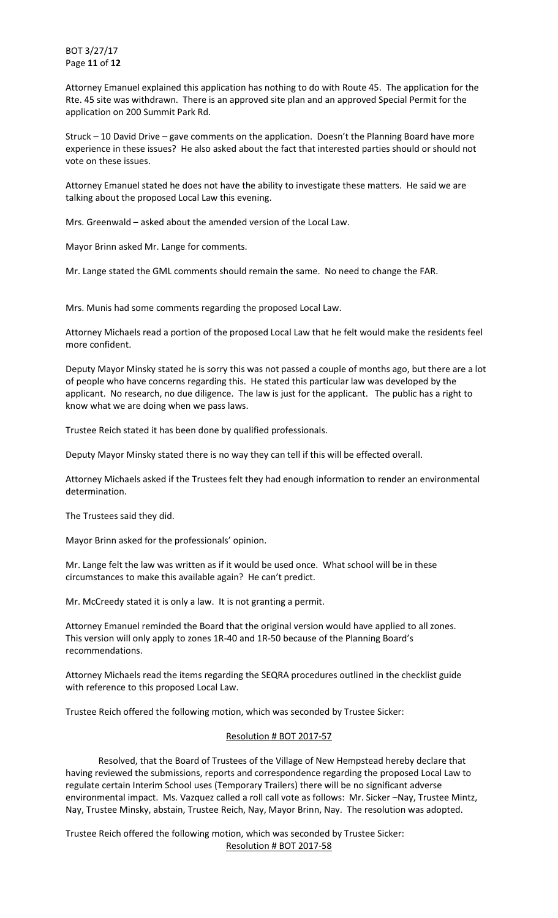BOT 3/27/17 Page **11** of **12**

Attorney Emanuel explained this application has nothing to do with Route 45. The application for the Rte. 45 site was withdrawn. There is an approved site plan and an approved Special Permit for the application on 200 Summit Park Rd.

Struck – 10 David Drive – gave comments on the application. Doesn't the Planning Board have more experience in these issues? He also asked about the fact that interested parties should or should not vote on these issues.

Attorney Emanuel stated he does not have the ability to investigate these matters. He said we are talking about the proposed Local Law this evening.

Mrs. Greenwald – asked about the amended version of the Local Law.

Mayor Brinn asked Mr. Lange for comments.

Mr. Lange stated the GML comments should remain the same. No need to change the FAR.

Mrs. Munis had some comments regarding the proposed Local Law.

Attorney Michaels read a portion of the proposed Local Law that he felt would make the residents feel more confident.

Deputy Mayor Minsky stated he is sorry this was not passed a couple of months ago, but there are a lot of people who have concerns regarding this. He stated this particular law was developed by the applicant. No research, no due diligence. The law is just for the applicant. The public has a right to know what we are doing when we pass laws.

Trustee Reich stated it has been done by qualified professionals.

Deputy Mayor Minsky stated there is no way they can tell if this will be effected overall.

Attorney Michaels asked if the Trustees felt they had enough information to render an environmental determination.

The Trustees said they did.

Mayor Brinn asked for the professionals' opinion.

Mr. Lange felt the law was written as if it would be used once. What school will be in these circumstances to make this available again? He can't predict.

Mr. McCreedy stated it is only a law. It is not granting a permit.

Attorney Emanuel reminded the Board that the original version would have applied to all zones. This version will only apply to zones 1R-40 and 1R-50 because of the Planning Board's recommendations.

Attorney Michaels read the items regarding the SEQRA procedures outlined in the checklist guide with reference to this proposed Local Law.

Trustee Reich offered the following motion, which was seconded by Trustee Sicker:

## Resolution # BOT 2017-57

 Resolved, that the Board of Trustees of the Village of New Hempstead hereby declare that having reviewed the submissions, reports and correspondence regarding the proposed Local Law to regulate certain Interim School uses (Temporary Trailers) there will be no significant adverse environmental impact. Ms. Vazquez called a roll call vote as follows: Mr. Sicker –Nay, Trustee Mintz, Nay, Trustee Minsky, abstain, Trustee Reich, Nay, Mayor Brinn, Nay. The resolution was adopted.

Trustee Reich offered the following motion, which was seconded by Trustee Sicker: Resolution # BOT 2017-58